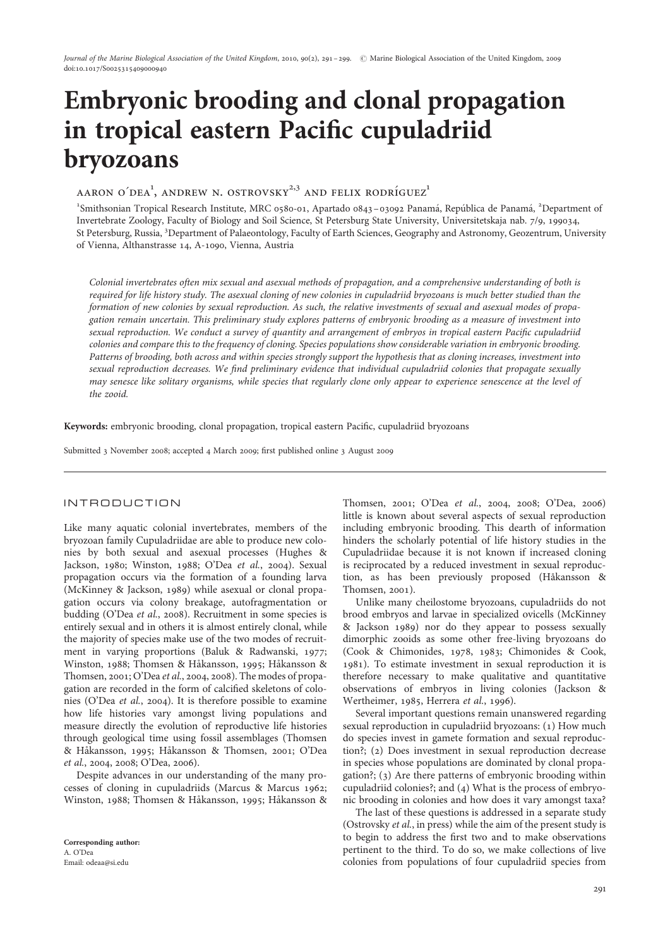# Embryonic brooding and clonal propagation in tropical eastern Pacific cupuladriid bryozoans

 $\rm AARON$  O´DE $\rm A$ <sup>1</sup>,  $\rm ANDREW$  N. OSTROVSKY $^{2,3}$  AND FELIX RODRÍGUEZ $^1$ 

<sup>1</sup>Smithsonian Tropical Research Institute, MRC 0580-01, Apartado 0843-03092 Panamá, República de Panamá, <sup>2</sup>Department of Invertebrate Zoology, Faculty of Biology and Soil Science, St Petersburg State University, Universitetskaja nab. 7/9, 199034, St Petersburg, Russia, <sup>3</sup> Department of Palaeontology, Faculty of Earth Sciences, Geography and Astronomy, Geozentrum, University of Vienna, Althanstrasse 14, A-1090, Vienna, Austria

Colonial invertebrates often mix sexual and asexual methods of propagation, and a comprehensive understanding of both is required for life history study. The asexual cloning of new colonies in cupuladriid bryozoans is much better studied than the formation of new colonies by sexual reproduction. As such, the relative investments of sexual and asexual modes of propagation remain uncertain. This preliminary study explores patterns of embryonic brooding as a measure of investment into sexual reproduction. We conduct a survey of quantity and arrangement of embryos in tropical eastern Pacific cupuladriid colonies and compare this to the frequency of cloning. Species populations show considerable variation in embryonic brooding. Patterns of brooding, both across and within species strongly support the hypothesis that as cloning increases, investment into sexual reproduction decreases. We find preliminary evidence that individual cupuladriid colonies that propagate sexually may senesce like solitary organisms, while species that regularly clone only appear to experience senescence at the level of the zooid.

Keywords: embryonic brooding, clonal propagation, tropical eastern Pacific, cupuladriid bryozoans

Submitted 3 November 2008; accepted 4 March 2009; first published online 3 August 2009

# INTRODUCTION

Like many aquatic colonial invertebrates, members of the bryozoan family Cupuladriidae are able to produce new colonies by both sexual and asexual processes (Hughes & Jackson, 1980; Winston, 1988; O'Dea et al., 2004). Sexual propagation occurs via the formation of a founding larva (McKinney & Jackson, 1989) while asexual or clonal propagation occurs via colony breakage, autofragmentation or budding (O'Dea et al., 2008). Recruitment in some species is entirely sexual and in others it is almost entirely clonal, while the majority of species make use of the two modes of recruitment in varying proportions (Baluk & Radwanski, 1977; Winston, 1988; Thomsen & Håkansson, 1995; Håkansson & Thomsen, 2001; O'Dea et al., 2004, 2008). The modes of propagation are recorded in the form of calcified skeletons of colonies (O'Dea et al., 2004). It is therefore possible to examine how life histories vary amongst living populations and measure directly the evolution of reproductive life histories through geological time using fossil assemblages (Thomsen & Håkansson, 1995; Håkansson & Thomsen, 2001; O'Dea et al., 2004, 2008; O'Dea, 2006).

Despite advances in our understanding of the many processes of cloning in cupuladriids (Marcus & Marcus 1962; Winston, 1988; Thomsen & Håkansson, 1995; Håkansson &

Thomsen, 2001; O'Dea et al., 2004, 2008; O'Dea, 2006) little is known about several aspects of sexual reproduction including embryonic brooding. This dearth of information hinders the scholarly potential of life history studies in the Cupuladriidae because it is not known if increased cloning is reciprocated by a reduced investment in sexual reproduction, as has been previously proposed (Håkansson & Thomsen, 2001).

Unlike many cheilostome bryozoans, cupuladriids do not brood embryos and larvae in specialized ovicells (McKinney & Jackson 1989) nor do they appear to possess sexually dimorphic zooids as some other free-living bryozoans do (Cook & Chimonides, 1978, 1983; Chimonides & Cook, 1981). To estimate investment in sexual reproduction it is therefore necessary to make qualitative and quantitative observations of embryos in living colonies (Jackson & Wertheimer, 1985, Herrera et al., 1996).

Several important questions remain unanswered regarding sexual reproduction in cupuladriid bryozoans: (1) How much do species invest in gamete formation and sexual reproduction?; (2) Does investment in sexual reproduction decrease in species whose populations are dominated by clonal propagation?; (3) Are there patterns of embryonic brooding within cupuladriid colonies?; and (4) What is the process of embryonic brooding in colonies and how does it vary amongst taxa?

The last of these questions is addressed in a separate study (Ostrovsky et al., in press) while the aim of the present study is to begin to address the first two and to make observations pertinent to the third. To do so, we make collections of live colonies from populations of four cupuladriid species from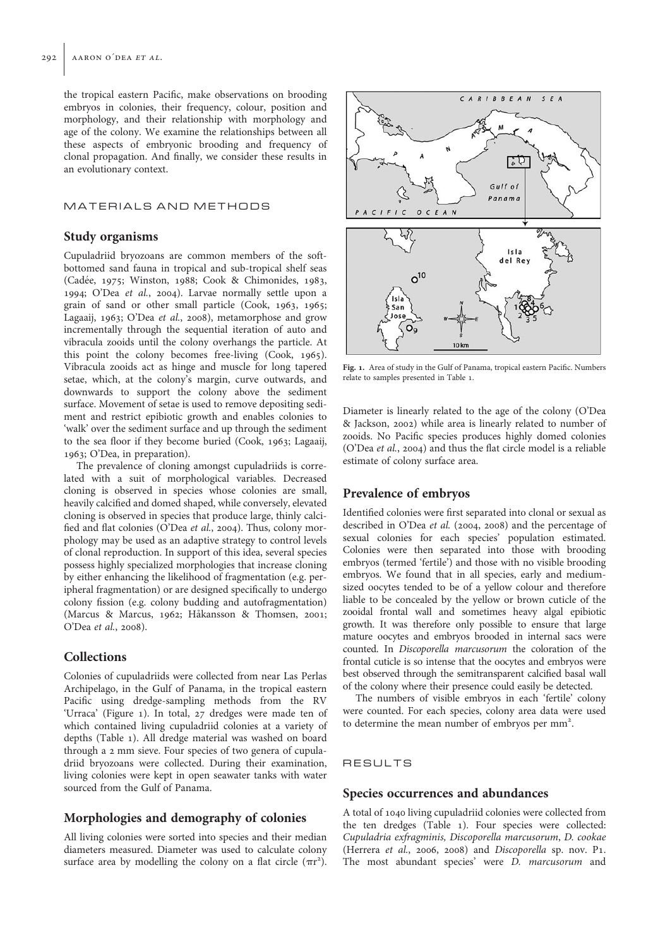the tropical eastern Pacific, make observations on brooding embryos in colonies, their frequency, colour, position and morphology, and their relationship with morphology and age of the colony. We examine the relationships between all these aspects of embryonic brooding and frequency of clonal propagation. And finally, we consider these results in an evolutionary context.

# MATERIALS AND METHODS

## Study organisms

Cupuladriid bryozoans are common members of the softbottomed sand fauna in tropical and sub-tropical shelf seas (Cadée, 1975; Winston, 1988; Cook & Chimonides, 1983, 1994; O'Dea et al., 2004). Larvae normally settle upon a grain of sand or other small particle (Cook, 1963, 1965; Lagaaij, 1963; O'Dea et al., 2008), metamorphose and grow incrementally through the sequential iteration of auto and vibracula zooids until the colony overhangs the particle. At this point the colony becomes free-living (Cook, 1965). Vibracula zooids act as hinge and muscle for long tapered setae, which, at the colony's margin, curve outwards, and downwards to support the colony above the sediment surface. Movement of setae is used to remove depositing sediment and restrict epibiotic growth and enables colonies to 'walk' over the sediment surface and up through the sediment to the sea floor if they become buried (Cook, 1963; Lagaaij, 1963; O'Dea, in preparation).

The prevalence of cloning amongst cupuladriids is correlated with a suit of morphological variables. Decreased cloning is observed in species whose colonies are small, heavily calcified and domed shaped, while conversely, elevated cloning is observed in species that produce large, thinly calcified and flat colonies (O'Dea et al., 2004). Thus, colony morphology may be used as an adaptive strategy to control levels of clonal reproduction. In support of this idea, several species possess highly specialized morphologies that increase cloning by either enhancing the likelihood of fragmentation (e.g. peripheral fragmentation) or are designed specifically to undergo colony fission (e.g. colony budding and autofragmentation) (Marcus & Marcus, 1962; Håkansson & Thomsen, 2001; O'Dea et al., 2008).

# Collections

Colonies of cupuladriids were collected from near Las Perlas Archipelago, in the Gulf of Panama, in the tropical eastern Pacific using dredge-sampling methods from the RV 'Urraca' (Figure 1). In total, 27 dredges were made ten of which contained living cupuladriid colonies at a variety of depths (Table 1). All dredge material was washed on board through a 2 mm sieve. Four species of two genera of cupuladriid bryozoans were collected. During their examination, living colonies were kept in open seawater tanks with water sourced from the Gulf of Panama.

# Morphologies and demography of colonies

All living colonies were sorted into species and their median diameters measured. Diameter was used to calculate colony surface area by modelling the colony on a flat circle  $(\pi r^2)$ .



Fig. 1. Area of study in the Gulf of Panama, tropical eastern Pacific. Numbers relate to samples presented in Table 1.

Diameter is linearly related to the age of the colony (O'Dea & Jackson, 2002) while area is linearly related to number of zooids. No Pacific species produces highly domed colonies (O'Dea et al., 2004) and thus the flat circle model is a reliable estimate of colony surface area.

## Prevalence of embryos

Identified colonies were first separated into clonal or sexual as described in O'Dea et al. (2004, 2008) and the percentage of sexual colonies for each species' population estimated. Colonies were then separated into those with brooding embryos (termed 'fertile') and those with no visible brooding embryos. We found that in all species, early and mediumsized oocytes tended to be of a yellow colour and therefore liable to be concealed by the yellow or brown cuticle of the zooidal frontal wall and sometimes heavy algal epibiotic growth. It was therefore only possible to ensure that large mature oocytes and embryos brooded in internal sacs were counted. In Discoporella marcusorum the coloration of the frontal cuticle is so intense that the oocytes and embryos were best observed through the semitransparent calcified basal wall of the colony where their presence could easily be detected.

The numbers of visible embryos in each 'fertile' colony were counted. For each species, colony area data were used to determine the mean number of embryos per mm<sup>2</sup>.

#### RESULTS

### Species occurrences and abundances

A total of 1040 living cupuladriid colonies were collected from the ten dredges (Table 1). Four species were collected: Cupuladria exfragminis, Discoporella marcusorum, D. cookae (Herrera et al., 2006, 2008) and Discoporella sp. nov. P1. The most abundant species' were D. marcusorum and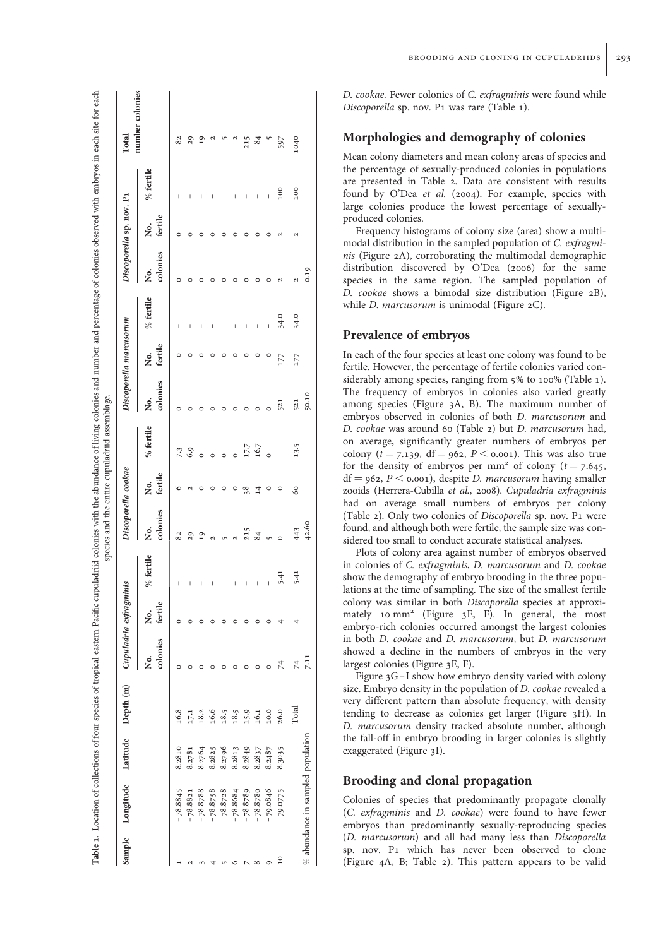| Sample          | Longitude                         |        | Latitude Depth (m) |                | Cupuladria exfragmin | iis          |                    | Discoporella cookae |                |                | Discoporella marcusorum |           |                | Discoporella sp. nov. P1 |              | Total           |
|-----------------|-----------------------------------|--------|--------------------|----------------|----------------------|--------------|--------------------|---------------------|----------------|----------------|-------------------------|-----------|----------------|--------------------------|--------------|-----------------|
|                 |                                   |        |                    | colonies<br>ż. | fertile<br>Ż.        | % fertile    | colonies<br>,<br>Ž | fertile<br>Ż.       | % fertile      | colonies<br>ż. | fertile<br>ż.           | % fertile | colonies<br>ż. | fertile<br>Ż.            | % fertile    | number colonies |
|                 | $-78.8845$                        | 8.2810 | 16.8               |                |                      | I            | 82                 | ∘                   |                | $\circ$        |                         | I         | 0              |                          | ı            | 82              |
|                 | $-78.8821$                        | 8.2781 | 17.1               |                |                      | I            | 29                 | 2                   | $7.3$<br>6.9   |                |                         | I         |                |                          |              | 29              |
|                 | $-78.8788$                        | 8.2764 | 18.2               |                |                      | I            | $^{2}$             | $\circ$             |                |                |                         | I         |                |                          |              |                 |
|                 | $-78.8758$                        | 8.2825 | 16.6               |                |                      | I            | $\mathbf{a}$       | $\circ$             | $\circ$        |                |                         | I         |                |                          |              |                 |
|                 | $-78.8728$                        | 8.2796 | 18.5               |                |                      | I            |                    | $\circ$             | $\circ$        |                |                         | I         |                |                          |              |                 |
|                 | $-78.8684$                        | 8.2813 | 18.5               |                |                      | I            |                    | $\circ$             |                |                |                         | I         |                |                          |              |                 |
|                 | $-78.8789$                        | 8.2849 | 15.9               |                |                      | I            | 215                | 38                  |                |                | 0                       | I         |                |                          | I            | 215             |
|                 | $-78.8780$                        | 8.2837 | 16.1               |                |                      | I            | 84                 | $\overline{1}$      | 17.7<br>16.7   |                | 0                       | Ī         |                |                          | Ī            | $\frac{84}{3}$  |
| Ò               | $-79.0846$                        | 8.2487 | 10.0               |                |                      | $\mathbf{I}$ |                    | $\circ$             |                |                |                         |           |                |                          | $\mathbf{I}$ |                 |
| $\overline{10}$ | $-79.0775$                        | 8.3035 | 26.0               | 74             |                      | 5.41         | $\circ$            |                     | $\overline{1}$ | 521            | 177                     | 34.0      |                |                          | 100          | 597             |
|                 |                                   |        | Total              | $\overline{7}$ |                      | 5.41         | 443                | 60                  | 13.5           | 521            | 177                     | 34.0      |                |                          | 100          | 1040            |
|                 | % abundance in sampled population |        |                    | 7.11           |                      |              | 42.60              |                     |                | 50.10          |                         |           | 0.19           |                          |              |                 |

Table 1.

ئي  $\ddot{a}$ 

Ī

معنسنة الكم

 $...$ 

andonion

É  $\cdots$ 

په دې ع

معدد أمام

D. cookae. Fewer colonies of C. exfragminis were found while Discoporella sp. nov. P1 was rare (Table 1).

# Morphologies and demography of colonies

Mean colony diameters and mean colony areas of species and the percentage of sexually-produced colonies in populations are presented in Table 2. Data are consistent with results found by O'Dea et al. (2004). For example, species with large colonies produce the lowest percentage of sexuallyproduced colonies.

Frequency histograms of colony size (area) show a multimodal distribution in the sampled population of C. exfragminis (Figure 2A), corroborating the multimodal demographic distribution discovered by O'Dea (2006) for the same species in the same region. The sampled population of D. cookae shows a bimodal size distribution (Figure 2B), while *D. marcusorum* is unimodal (Figure 2C).

## Prevalence of embryos

In each of the four species at least one colony was found to be fertile. However, the percentage of fertile colonies varied considerably among species, ranging from 5% to 100% (Table 1). The frequency of embryos in colonies also varied greatly among species (Figure 3A, B). The maximum number of embryos observed in colonies of both D. marcusorum and D. cookae was around 60 (Table 2) but D. marcusorum had, on average, significantly greater numbers of embryos per colony ( $t = 7.139$ , df = 962,  $P < 0.001$ ). This was also true for the density of embryos per mm<sup>2</sup> of colony ( $t = 7.645$ ,  $df = 962, P < 0.001$ , despite *D. marcusorum* having smaller zooids (Herrera-Cubilla et al., 2008). Cupuladria exfragminis had on average small numbers of embryos per colony (Table 2). Only two colonies of Discoporella sp. nov. P1 were found, and although both were fertile, the sample size was considered too small to conduct accurate statistical analyses.

Plots of colony area against number of embryos observed in colonies of C. exfragminis , D. marcusorum and D. cookae show the demography of embryo brooding in the three populations at the time of sampling. The size of the smallest fertile colony was similar in both Discoporella species at approximately 10 mm<sup>2</sup> (Figure  $3E$ , F). In general, the most embryo-rich colonies occurred amongst the largest colonies in both D. cookae and D. marcusorum, but D. marcusorum showed a decline in the numbers of embryos in the very largest colonies (Figure 3E, F).

Figure 3G-I show how embryo density varied with colony size. Embryo density in the population of D. cookae revealed a very different pattern than absolute frequency, with density tending to decrease as colonies get larger (Figure 3H). In D. marcusorum density tracked absolute number, although the fall-off in embryo brooding in larger colonies is slightly exaggerated (Figure 3I).

# Brooding and clonal propagation

Colonies of species that predominantly propagate clonally (C. exfragminis and D. cookae) were found to have fewer embryos than predominantly sexually-reproducing species (D. marcusorum) and all had many less than Discoporella sp. nov. P1 which has never been observed to clone (Figure 4A, B; Table 2). This pattern appears to be valid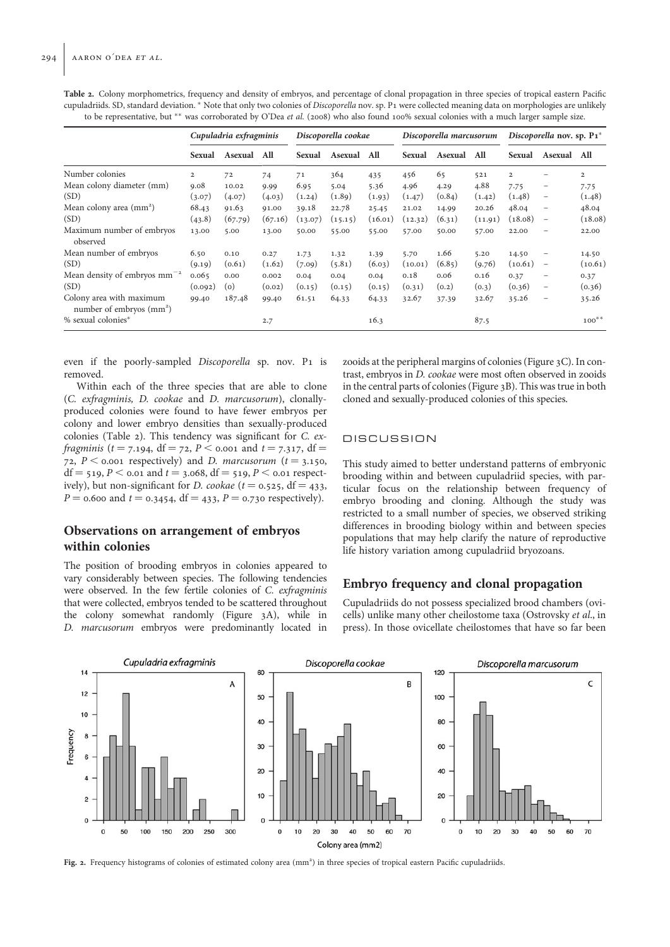|                                                               |                | Cupuladria exfragminis |         | Discoporella cookae |         |         | Discoporella marcusorum |         |         | Discoporella nov. sp. $P_1^*$ |                          |                |
|---------------------------------------------------------------|----------------|------------------------|---------|---------------------|---------|---------|-------------------------|---------|---------|-------------------------------|--------------------------|----------------|
|                                                               | Sexual         | Asexual                | All     | Sexual              | Asexual | All     | Sexual                  | Asexual | All     | Sexual                        | Asexual                  | All            |
| Number colonies                                               | $\overline{2}$ | 72                     | 74      | 71                  | 364     | 435     | 456                     | 65      | 521     | $\overline{2}$                | -                        | $\overline{2}$ |
| Mean colony diameter (mm)                                     | 9.08           | 10.02                  | 9.99    | 6.95                | 5.04    | 5.36    | 4.96                    | 4.29    | 4.88    | 7.75                          | $\qquad \qquad -$        | 7.75           |
| (SD)                                                          | (3.07)         | (4.07)                 | (4.03)  | (1.24)              | (1.89)  | (1.93)  | (1.47)                  | (0.84)  | (1.42)  | (1.48)                        | $\overline{\phantom{m}}$ | (1.48)         |
| Mean colony area (mm <sup>2</sup> )                           | 68.43          | 91.63                  | 91.00   | 39.18               | 22.78   | 25.45   | 21.02                   | 14.99   | 20.26   | 48.04                         | $\overline{\phantom{m}}$ | 48.04          |
| (SD)                                                          | (43.8)         | (67.79)                | (67.16) | (13.07)             | (15.15) | (16.01) | (12.32)                 | (6.31)  | (11.91) | (18.08)                       | $\qquad \qquad -$        | (18.08)        |
| Maximum number of embryos<br>observed                         | 13.00          | 5.00                   | 13.00   | 50.00               | 55.00   | 55.00   | 57.00                   | 50.00   | 57.00   | 22.00                         | $\overline{\phantom{m}}$ | 22.00          |
| Mean number of embryos                                        | 6.50           | 0.10                   | 0.27    | 1.73                | 1.32    | 1.39    | 5.70                    | 1.66    | 5.20    | 14.50                         | -                        | 14.50          |
| (SD)                                                          | (9.19)         | (0.61)                 | (1.62)  | (7.09)              | (5.81)  | (6.03)  | (10.01)                 | (6.85)  | (9.76)  | (10.61)                       | $\overline{\phantom{m}}$ | (10.61)        |
| Mean density of embryos $mm^{-2}$                             | 0.065          | 0.00                   | 0.002   | 0.04                | 0.04    | 0.04    | 0.18                    | 0.06    | 0.16    | 0.37                          | $\overline{\phantom{m}}$ | 0.37           |
| (SD)                                                          | (0.092)        | (o)                    | (0.02)  | (0.15)              | (0.15)  | (0.15)  | (0.31)                  | (0.2)   | (0.3)   | (0.36)                        | $\overline{\phantom{m}}$ | (0.36)         |
| Colony area with maximum<br>number of embryos $\text{(mm}^2)$ | 99.40          | 187.48                 | 99.40   | 61.51               | 64.33   | 64.33   | 32.67                   | 37.39   | 32.67   | 35.26                         | $\overline{\phantom{m}}$ | 35.26          |
| % sexual colonies*                                            |                |                        | 2.7     |                     |         | 16.3    |                         |         | 87.5    |                               |                          | $100^{**}$     |

Table 2. Colony morphometrics, frequency and density of embryos, and percentage of clonal propagation in three species of tropical eastern Pacific cupuladriids. SD, standard deviation. \* Note that only two colonies of Discoporella nov. sp. P1 were collected meaning data on morphologies are unlikely to be representative, but \*\* was corroborated by O'Dea et al. (2008) who also found 100% sexual colonies with a much larger sample size.

even if the poorly-sampled Discoporella sp. nov. P1 is removed.

Within each of the three species that are able to clone (C. exfragminis, D. cookae and D. marcusorum), clonallyproduced colonies were found to have fewer embryos per colony and lower embryo densities than sexually-produced colonies (Table 2). This tendency was significant for C. exfragminis ( $t = 7.194$ , df = 72, P < 0.001 and  $t = 7.317$ , df = 72,  $P < 0.001$  respectively) and D. marcusorum (t = 3.150, df = 519, P < 0.01 and t = 3.068, df = 519, P < 0.01 respectively), but non-significant for *D. cookae* ( $t = 0.525$ , df = 433,  $P = 0.600$  and  $t = 0.3454$ , df = 433,  $P = 0.730$  respectively).

# Observations on arrangement of embryos within colonies

The position of brooding embryos in colonies appeared to vary considerably between species. The following tendencies were observed. In the few fertile colonies of C. exfragminis that were collected, embryos tended to be scattered throughout the colony somewhat randomly (Figure 3A), while in D. marcusorum embryos were predominantly located in zooids at the peripheral margins of colonies (Figure 3C). In contrast, embryos in D. cookae were most often observed in zooids in the central parts of colonies (Figure 3B). This was true in both cloned and sexually-produced colonies of this species.

## **DISCUSSION**

This study aimed to better understand patterns of embryonic brooding within and between cupuladriid species, with particular focus on the relationship between frequency of embryo brooding and cloning. Although the study was restricted to a small number of species, we observed striking differences in brooding biology within and between species populations that may help clarify the nature of reproductive life history variation among cupuladriid bryozoans.

# Embryo frequency and clonal propagation

Cupuladriids do not possess specialized brood chambers (ovicells) unlike many other cheilostome taxa (Ostrovsky et al., in press). In those ovicellate cheilostomes that have so far been



Fig. 2. Frequency histograms of colonies of estimated colony area (mm<sup>2</sup>) in three species of tropical eastern Pacific cupuladriids.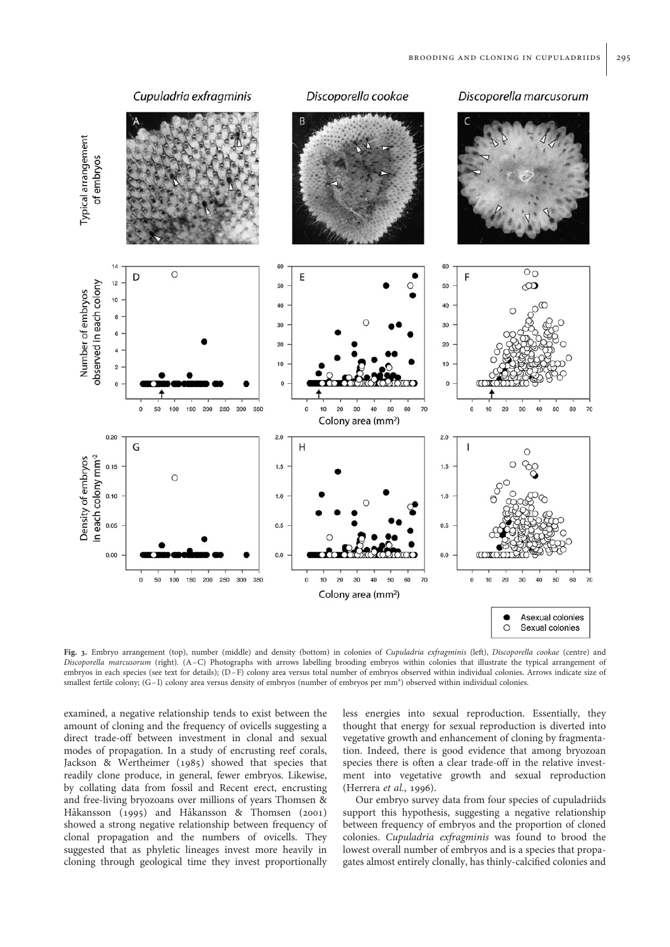

Fig. 3. Embryo arrangement (top), number (middle) and density (bottom) in colonies of Cupuladria exfragminis (left), Discoporella cookae (centre) and Discoporella marcusorum (right). (A-C) Photographs with arrows labelling brooding embryos within colonies that illustrate the typical arrangement of embryos in each species (see text for details); (D-F) colony area versus total number of embryos observed within individual colonies. Arrows indicate size of smallest fertile colony; (G-I) colony area versus density of embryos (number of embryos per mm<sup>2</sup>) observed within individual colonies.

examined, a negative relationship tends to exist between the amount of cloning and the frequency of ovicells suggesting a direct trade-off between investment in clonal and sexual modes of propagation. In a study of encrusting reef corals, Jackson & Wertheimer (1985) showed that species that readily clone produce, in general, fewer embryos. Likewise, by collating data from fossil and Recent erect, encrusting and free-living bryozoans over millions of years Thomsen & Håkansson (1995) and Håkansson & Thomsen (2001) showed a strong negative relationship between frequency of clonal propagation and the numbers of ovicells. They suggested that as phyletic lineages invest more heavily in cloning through geological time they invest proportionally

less energies into sexual reproduction. Essentially, they thought that energy for sexual reproduction is diverted into vegetative growth and enhancement of cloning by fragmentation. Indeed, there is good evidence that among bryozoan species there is often a clear trade-off in the relative investment into vegetative growth and sexual reproduction (Herrera et al., 1996).

Our embryo survey data from four species of cupuladriids support this hypothesis, suggesting a negative relationship between frequency of embryos and the proportion of cloned colonies. Cupuladria exfragminis was found to brood the lowest overall number of embryos and is a species that propagates almost entirely clonally, has thinly-calcified colonies and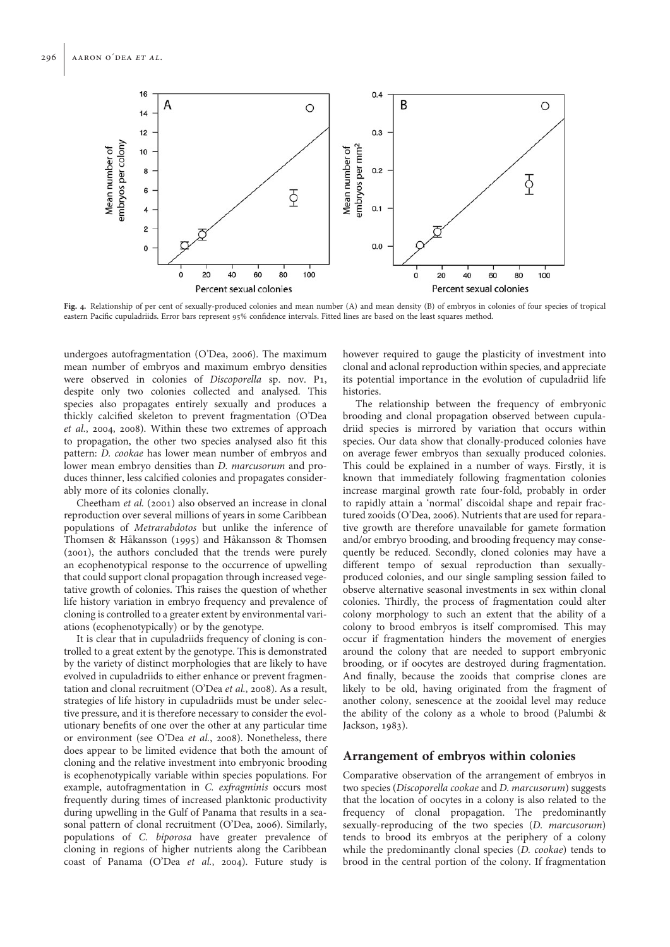

Fig. 4. Relationship of per cent of sexually-produced colonies and mean number (A) and mean density (B) of embryos in colonies of four species of tropical eastern Pacific cupuladriids. Error bars represent 95% confidence intervals. Fitted lines are based on the least squares method.

undergoes autofragmentation (O'Dea, 2006). The maximum mean number of embryos and maximum embryo densities were observed in colonies of Discoporella sp. nov. P1, despite only two colonies collected and analysed. This species also propagates entirely sexually and produces a thickly calcified skeleton to prevent fragmentation (O'Dea et al., 2004, 2008). Within these two extremes of approach to propagation, the other two species analysed also fit this pattern: D. cookae has lower mean number of embryos and lower mean embryo densities than D. marcusorum and produces thinner, less calcified colonies and propagates considerably more of its colonies clonally.

Cheetham et al. (2001) also observed an increase in clonal reproduction over several millions of years in some Caribbean populations of Metrarabdotos but unlike the inference of Thomsen & Håkansson (1995) and Håkansson & Thomsen (2001), the authors concluded that the trends were purely an ecophenotypical response to the occurrence of upwelling that could support clonal propagation through increased vegetative growth of colonies. This raises the question of whether life history variation in embryo frequency and prevalence of cloning is controlled to a greater extent by environmental variations (ecophenotypically) or by the genotype.

It is clear that in cupuladriids frequency of cloning is controlled to a great extent by the genotype. This is demonstrated by the variety of distinct morphologies that are likely to have evolved in cupuladriids to either enhance or prevent fragmentation and clonal recruitment (O'Dea et al., 2008). As a result, strategies of life history in cupuladriids must be under selective pressure, and it is therefore necessary to consider the evolutionary benefits of one over the other at any particular time or environment (see O'Dea et al., 2008). Nonetheless, there does appear to be limited evidence that both the amount of cloning and the relative investment into embryonic brooding is ecophenotypically variable within species populations. For example, autofragmentation in C. exfragminis occurs most frequently during times of increased planktonic productivity during upwelling in the Gulf of Panama that results in a seasonal pattern of clonal recruitment (O'Dea, 2006). Similarly, populations of C. biporosa have greater prevalence of cloning in regions of higher nutrients along the Caribbean coast of Panama (O'Dea et al., 2004). Future study is however required to gauge the plasticity of investment into clonal and aclonal reproduction within species, and appreciate its potential importance in the evolution of cupuladriid life histories.

The relationship between the frequency of embryonic brooding and clonal propagation observed between cupuladriid species is mirrored by variation that occurs within species. Our data show that clonally-produced colonies have on average fewer embryos than sexually produced colonies. This could be explained in a number of ways. Firstly, it is known that immediately following fragmentation colonies increase marginal growth rate four-fold, probably in order to rapidly attain a 'normal' discoidal shape and repair fractured zooids (O'Dea, 2006). Nutrients that are used for reparative growth are therefore unavailable for gamete formation and/or embryo brooding, and brooding frequency may consequently be reduced. Secondly, cloned colonies may have a different tempo of sexual reproduction than sexuallyproduced colonies, and our single sampling session failed to observe alternative seasonal investments in sex within clonal colonies. Thirdly, the process of fragmentation could alter colony morphology to such an extent that the ability of a colony to brood embryos is itself compromised. This may occur if fragmentation hinders the movement of energies around the colony that are needed to support embryonic brooding, or if oocytes are destroyed during fragmentation. And finally, because the zooids that comprise clones are likely to be old, having originated from the fragment of another colony, senescence at the zooidal level may reduce the ability of the colony as a whole to brood (Palumbi & Jackson, 1983).

## Arrangement of embryos within colonies

Comparative observation of the arrangement of embryos in two species (Discoporella cookae and D. marcusorum) suggests that the location of oocytes in a colony is also related to the frequency of clonal propagation. The predominantly sexually-reproducing of the two species (D. marcusorum) tends to brood its embryos at the periphery of a colony while the predominantly clonal species (D. cookae) tends to brood in the central portion of the colony. If fragmentation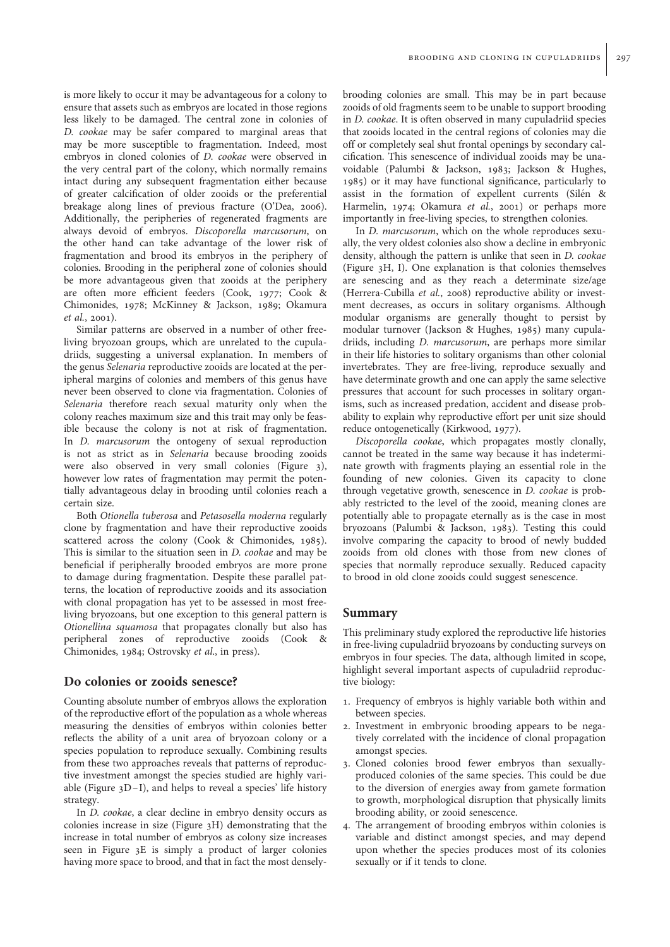is more likely to occur it may be advantageous for a colony to ensure that assets such as embryos are located in those regions less likely to be damaged. The central zone in colonies of D. cookae may be safer compared to marginal areas that may be more susceptible to fragmentation. Indeed, most embryos in cloned colonies of D. cookae were observed in the very central part of the colony, which normally remains intact during any subsequent fragmentation either because of greater calcification of older zooids or the preferential breakage along lines of previous fracture (O'Dea, 2006). Additionally, the peripheries of regenerated fragments are always devoid of embryos. Discoporella marcusorum, on the other hand can take advantage of the lower risk of fragmentation and brood its embryos in the periphery of colonies. Brooding in the peripheral zone of colonies should be more advantageous given that zooids at the periphery are often more efficient feeders (Cook, 1977; Cook & Chimonides, 1978; McKinney & Jackson, 1989; Okamura et al., 2001).

Similar patterns are observed in a number of other freeliving bryozoan groups, which are unrelated to the cupuladriids, suggesting a universal explanation. In members of the genus Selenaria reproductive zooids are located at the peripheral margins of colonies and members of this genus have never been observed to clone via fragmentation. Colonies of Selenaria therefore reach sexual maturity only when the colony reaches maximum size and this trait may only be feasible because the colony is not at risk of fragmentation. In D. marcusorum the ontogeny of sexual reproduction is not as strict as in Selenaria because brooding zooids were also observed in very small colonies (Figure 3), however low rates of fragmentation may permit the potentially advantageous delay in brooding until colonies reach a certain size.

Both Otionella tuberosa and Petasosella moderna regularly clone by fragmentation and have their reproductive zooids scattered across the colony (Cook & Chimonides, 1985). This is similar to the situation seen in D. cookae and may be beneficial if peripherally brooded embryos are more prone to damage during fragmentation. Despite these parallel patterns, the location of reproductive zooids and its association with clonal propagation has yet to be assessed in most freeliving bryozoans, but one exception to this general pattern is Otionellina squamosa that propagates clonally but also has peripheral zones of reproductive zooids (Cook & Chimonides, 1984; Ostrovsky et al., in press).

# Do colonies or zooids senesce?

Counting absolute number of embryos allows the exploration of the reproductive effort of the population as a whole whereas measuring the densities of embryos within colonies better reflects the ability of a unit area of bryozoan colony or a species population to reproduce sexually. Combining results from these two approaches reveals that patterns of reproductive investment amongst the species studied are highly variable (Figure  $3D-I$ ), and helps to reveal a species' life history strategy.

In D. cookae, a clear decline in embryo density occurs as colonies increase in size (Figure 3H) demonstrating that the increase in total number of embryos as colony size increases seen in Figure 3E is simply a product of larger colonies having more space to brood, and that in fact the most denselybrooding colonies are small. This may be in part because zooids of old fragments seem to be unable to support brooding in D. cookae. It is often observed in many cupuladriid species that zooids located in the central regions of colonies may die off or completely seal shut frontal openings by secondary calcification. This senescence of individual zooids may be unavoidable (Palumbi & Jackson, 1983; Jackson & Hughes, 1985) or it may have functional significance, particularly to assist in the formation of expellent currents (Silén & Harmelin, 1974; Okamura et al., 2001) or perhaps more importantly in free-living species, to strengthen colonies.

In D. marcusorum, which on the whole reproduces sexually, the very oldest colonies also show a decline in embryonic density, although the pattern is unlike that seen in D. cookae (Figure 3H, I). One explanation is that colonies themselves are senescing and as they reach a determinate size/age (Herrera-Cubilla et al., 2008) reproductive ability or investment decreases, as occurs in solitary organisms. Although modular organisms are generally thought to persist by modular turnover (Jackson & Hughes, 1985) many cupuladriids, including D. marcusorum, are perhaps more similar in their life histories to solitary organisms than other colonial invertebrates. They are free-living, reproduce sexually and have determinate growth and one can apply the same selective pressures that account for such processes in solitary organisms, such as increased predation, accident and disease probability to explain why reproductive effort per unit size should reduce ontogenetically (Kirkwood, 1977).

Discoporella cookae, which propagates mostly clonally, cannot be treated in the same way because it has indeterminate growth with fragments playing an essential role in the founding of new colonies. Given its capacity to clone through vegetative growth, senescence in D. cookae is probably restricted to the level of the zooid, meaning clones are potentially able to propagate eternally as is the case in most bryozoans (Palumbi & Jackson, 1983). Testing this could involve comparing the capacity to brood of newly budded zooids from old clones with those from new clones of species that normally reproduce sexually. Reduced capacity to brood in old clone zooids could suggest senescence.

## Summary

This preliminary study explored the reproductive life histories in free-living cupuladriid bryozoans by conducting surveys on embryos in four species. The data, although limited in scope, highlight several important aspects of cupuladriid reproductive biology:

- 1. Frequency of embryos is highly variable both within and between species.
- 2. Investment in embryonic brooding appears to be negatively correlated with the incidence of clonal propagation amongst species.
- 3. Cloned colonies brood fewer embryos than sexuallyproduced colonies of the same species. This could be due to the diversion of energies away from gamete formation to growth, morphological disruption that physically limits brooding ability, or zooid senescence.
- 4. The arrangement of brooding embryos within colonies is variable and distinct amongst species, and may depend upon whether the species produces most of its colonies sexually or if it tends to clone.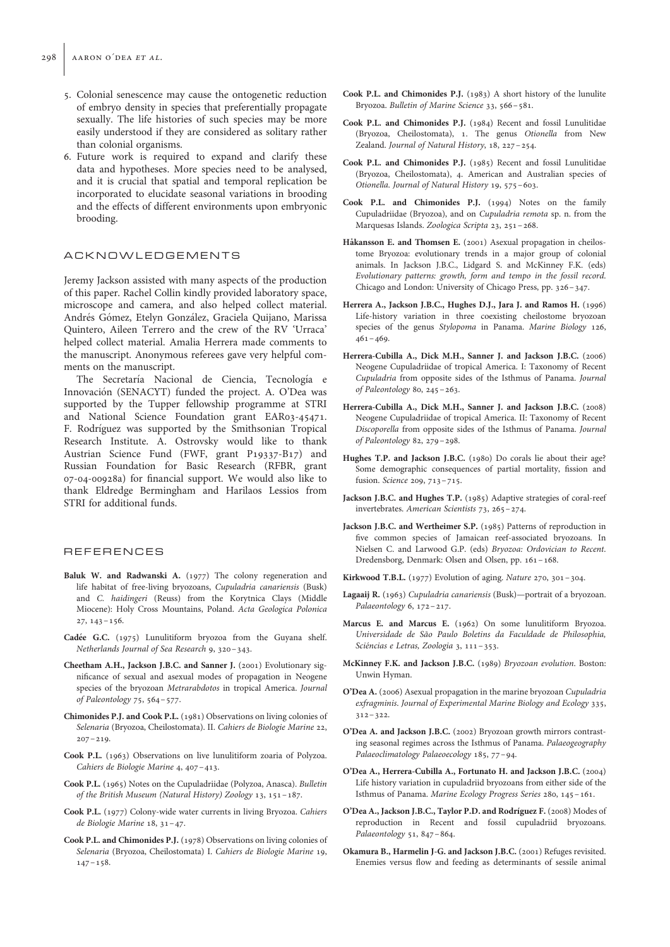- 5. Colonial senescence may cause the ontogenetic reduction of embryo density in species that preferentially propagate sexually. The life histories of such species may be more easily understood if they are considered as solitary rather than colonial organisms.
- 6. Future work is required to expand and clarify these data and hypotheses. More species need to be analysed, and it is crucial that spatial and temporal replication be incorporated to elucidate seasonal variations in brooding and the effects of different environments upon embryonic brooding.

## ACKNOWLEDGEMENTS

Jeremy Jackson assisted with many aspects of the production of this paper. Rachel Collin kindly provided laboratory space, microscope and camera, and also helped collect material. Andrés Gómez, Etelyn González, Graciela Quijano, Marissa Quintero, Aileen Terrero and the crew of the RV 'Urraca' helped collect material. Amalia Herrera made comments to the manuscript. Anonymous referees gave very helpful comments on the manuscript.

The Secretaría Nacional de Ciencia, Tecnología e Innovación (SENACYT) funded the project. A. O'Dea was supported by the Tupper fellowship programme at STRI and National Science Foundation grant EAR03-45471. F. Rodríguez was supported by the Smithsonian Tropical Research Institute. A. Ostrovsky would like to thank Austrian Science Fund (FWF, grant P19337-B17) and Russian Foundation for Basic Research (RFBR, grant 07-04-00928a) for financial support. We would also like to thank Eldredge Bermingham and Harilaos Lessios from STRI for additional funds.

## **REFERENCES**

- Baluk W. and Radwanski A. (1977) The colony regeneration and life habitat of free-living bryozoans, Cupuladria canariensis (Busk) and C. haidingeri (Reuss) from the Korytnica Clays (Middle Miocene): Holy Cross Mountains, Poland. Acta Geologica Polonica 27, 143–156.
- Cadée G.C. (1975) Lunulitiform bryozoa from the Guyana shelf. Netherlands Journal of Sea Research 9, 320–343.
- Cheetham A.H., Jackson J.B.C. and Sanner J. (2001) Evolutionary significance of sexual and asexual modes of propagation in Neogene species of the bryozoan Metrarabdotos in tropical America. Journal of Paleontology 75, 564–577.
- Chimonides P.J. and Cook P.L. (1981) Observations on living colonies of Selenaria (Bryozoa, Cheilostomata). II. Cahiers de Biologie Marine 22,  $207 - 219$ .
- Cook P.L. (1963) Observations on live lunulitiform zoaria of Polyzoa. Cahiers de Biologie Marine 4, 407–413.
- Cook P.L. (1965) Notes on the Cupuladriidae (Polyzoa, Anasca). Bulletin of the British Museum (Natural History) Zoology 13, 151–187.
- Cook P.L. (1977) Colony-wide water currents in living Bryozoa. Cahiers de Biologie Marine 18, 31–47.
- Cook P.L. and Chimonides P.J. (1978) Observations on living colonies of Selenaria (Bryozoa, Cheilostomata) I. Cahiers de Biologie Marine 19,  $147 - 158$ .
- Cook P.L. and Chimonides P.J. (1983) A short history of the lunulite Bryozoa. Bulletin of Marine Science 33, 566–581.
- Cook P.L. and Chimonides P.J. (1984) Recent and fossil Lunulitidae (Bryozoa, Cheilostomata), 1. The genus Otionella from New Zealand. Journal of Natural History, 18, 227–254.
- Cook P.L. and Chimonides P.J. (1985) Recent and fossil Lunulitidae (Bryozoa, Cheilostomata), 4. American and Australian species of Otionella. Journal of Natural History 19, 575–603.
- Cook P.L. and Chimonides P.J. (1994) Notes on the family Cupuladriidae (Bryozoa), and on Cupuladria remota sp. n. from the Marquesas Islands. Zoologica Scripta 23, 251–268.
- Håkansson E. and Thomsen E. (2001) Asexual propagation in cheilostome Bryozoa: evolutionary trends in a major group of colonial animals. In Jackson J.B.C., Lidgard S. and McKinney F.K. (eds) Evolutionary patterns: growth, form and tempo in the fossil record. Chicago and London: University of Chicago Press, pp. 326–347.
- Herrera A., Jackson J.B.C., Hughes D.J., Jara J. and Ramos H. (1996) Life-history variation in three coexisting cheilostome bryozoan species of the genus Stylopoma in Panama. Marine Biology 126,  $461 - 469.$
- Herrera-Cubilla A., Dick M.H., Sanner J. and Jackson J.B.C. (2006) Neogene Cupuladriidae of tropical America. I: Taxonomy of Recent Cupuladria from opposite sides of the Isthmus of Panama. Journal of Paleontology 80, 245–263.
- Herrera-Cubilla A., Dick M.H., Sanner J. and Jackson J.B.C. (2008) Neogene Cupuladriidae of tropical America. II: Taxonomy of Recent Discoporella from opposite sides of the Isthmus of Panama. Journal of Paleontology 82, 279–298.
- Hughes T.P. and Jackson J.B.C. (1980) Do corals lie about their age? Some demographic consequences of partial mortality, fission and fusion. Science 209, 713–715.
- Jackson J.B.C. and Hughes T.P. (1985) Adaptive strategies of coral-reef invertebrates. American Scientists 73, 265–274.
- Jackson J.B.C. and Wertheimer S.P. (1985) Patterns of reproduction in five common species of Jamaican reef-associated bryozoans. In Nielsen C. and Larwood G.P. (eds) Bryozoa: Ordovician to Recent. Dredensborg, Denmark: Olsen and Olsen, pp. 161–168.
- Kirkwood T.B.L. (1977) Evolution of aging. Nature 270, 301–304.
- Lagaaij R. (1963) Cupuladria canariensis (Busk)—portrait of a bryozoan. Palaeontology 6, 172-217.
- Marcus E. and Marcus E. (1962) On some lunulitiform Bryozoa. Universidade de São Paulo Boletins da Faculdade de Philosophia, Sciéncias e Letras, Zoologia 3, 111-353.
- McKinney F.K. and Jackson J.B.C. (1989) Bryozoan evolution. Boston: Unwin Hyman.
- O'Dea A. (2006) Asexual propagation in the marine bryozoan Cupuladria exfragminis. Journal of Experimental Marine Biology and Ecology 335, 312–322.
- O'Dea A. and Jackson J.B.C. (2002) Bryozoan growth mirrors contrasting seasonal regimes across the Isthmus of Panama. Palaeogeography Palaeoclimatology Palaeoecology 185, 77–94.
- O'Dea A., Herrera-Cubilla A., Fortunato H. and Jackson J.B.C. (2004) Life history variation in cupuladriid bryozoans from either side of the Isthmus of Panama. Marine Ecology Progress Series 280, 145–161.
- O'Dea A., Jackson J.B.C., Taylor P.D. and Rodríguez F. (2008) Modes of reproduction in Recent and fossil cupuladriid bryozoans. Palaeontology 51, 847–864.
- Okamura B., Harmelin J-G. and Jackson J.B.C. (2001) Refuges revisited. Enemies versus flow and feeding as determinants of sessile animal